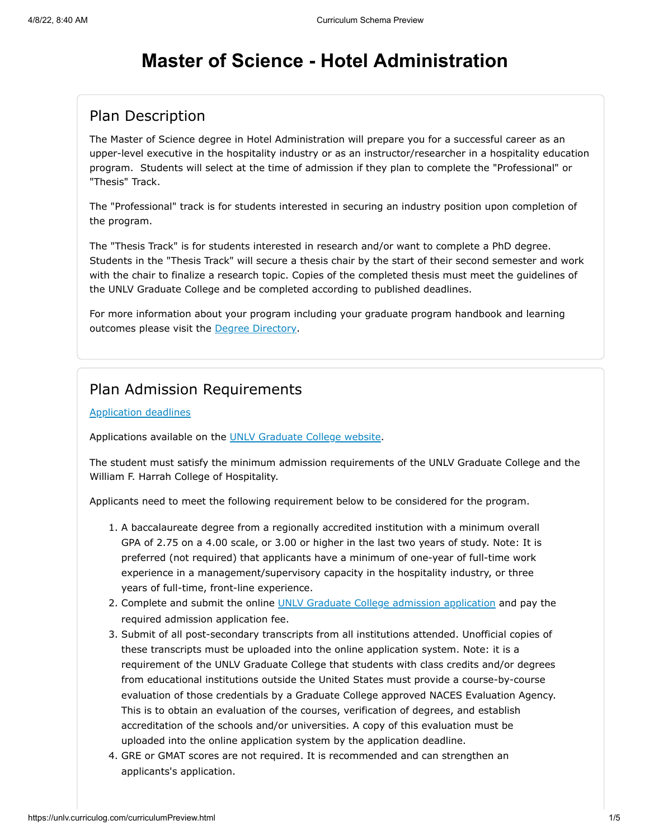# **Master of Science - Hotel Administration**

# Plan Description

The Master of Science degree in Hotel Administration will prepare you for a successful career as an upper-level executive in the hospitality industry or as an instructor/researcher in a hospitality education program. Students will select at the time of admission if they plan to complete the "Professional" or "Thesis" Track.

The "Professional" track is for students interested in securing an industry position upon completion of the program.

The "Thesis Track" is for students interested in research and/or want to complete a PhD degree. Students in the "Thesis Track" will secure a thesis chair by the start of their second semester and work with the chair to finalize a research topic. Copies of the completed thesis must meet the guidelines of the UNLV Graduate College and be completed according to published deadlines.

For more information about your program including your graduate program handbook and learning outcomes please visit the [Degree Directory.](http://www.unlv.edu/degree/ms-hotel-administration)

## Plan Admission Requirements

#### [Application deadlines](http://www.unlv.edu/graduatecollege/application-deadlines)

Applications available on the [UNLV Graduate College website.](http://graduatecollege.unlv.edu/admissions/)

The student must satisfy the minimum admission requirements of the UNLV Graduate College and the William F. Harrah College of Hospitality.

Applicants need to meet the following requirement below to be considered for the program.

- 1. A baccalaureate degree from a regionally accredited institution with a minimum overall GPA of 2.75 on a 4.00 scale, or 3.00 or higher in the last two years of study. Note: It is preferred (not required) that applicants have a minimum of one-year of full-time work experience in a management/supervisory capacity in the hospitality industry, or three years of full-time, front-line experience.
- 2. Complete and submit the online [UNLV Graduate College admission application](https://www.unlv.edu/graduatecollege/futurestudents) and pay the required admission application fee.
- 3. Submit of all post-secondary transcripts from all institutions attended. Unofficial copies of these transcripts must be uploaded into the online application system. Note: it is a requirement of the UNLV Graduate College that students with class credits and/or degrees from educational institutions outside the United States must provide a course-by-course evaluation of those credentials by a Graduate College approved NACES Evaluation Agency. This is to obtain an evaluation of the courses, verification of degrees, and establish accreditation of the schools and/or universities. A copy of this evaluation must be uploaded into the online application system by the application deadline.
- 4. GRE or GMAT scores are not required. It is recommended and can strengthen an applicants's application.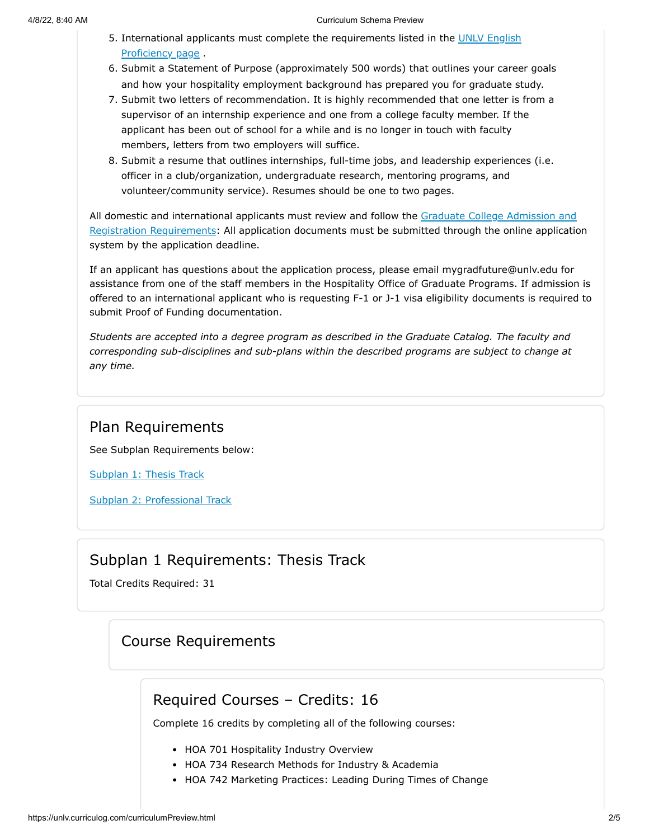- 5. [International applicants must complete the requirements listed in the UNLV English](https://www.unlv.edu/graduatecollege/English-proficiency) Proficiency page .
- 6. Submit a Statement of Purpose (approximately 500 words) that outlines your career goals and how your hospitality employment background has prepared you for graduate study.
- 7. Submit two letters of recommendation. It is highly recommended that one letter is from a supervisor of an internship experience and one from a college faculty member. If the applicant has been out of school for a while and is no longer in touch with faculty members, letters from two employers will suffice.
- 8. Submit a resume that outlines internships, full-time jobs, and leadership experiences (i.e. officer in a club/organization, undergraduate research, mentoring programs, and volunteer/community service). Resumes should be one to two pages.

[All domestic and international applicants must review and follow the Graduate College Admission and](https://www.unlv.edu/graduatecollege/futurestudents) Registration Requirements: All application documents must be submitted through the online application system by the application deadline.

If an applicant has questions about the application process, please email mygradfuture@unlv.edu for assistance from one of the staff members in the Hospitality Office of Graduate Programs. If admission is offered to an international applicant who is requesting F-1 or J-1 visa eligibility documents is required to submit Proof of Funding documentation.

*Students are accepted into a degree program as described in the Graduate Catalog. The faculty and corresponding sub-disciplines and sub-plans within the described programs are subject to change at any time.*

#### Plan Requirements

See Subplan Requirements below:

[Subplan 1: Thesis Track](#page-1-0)

[Subplan 2: Professional Track](#page-3-0)

#### Subplan 1 Requirements: Thesis Track

<span id="page-1-0"></span>Total Credits Required: 31

# Course Requirements

# Required Courses – Credits: 16

Complete 16 credits by completing all of the following courses:

- HOA 701 Hospitality Industry Overview
- HOA 734 Research Methods for Industry & Academia
- HOA 742 Marketing Practices: Leading During Times of Change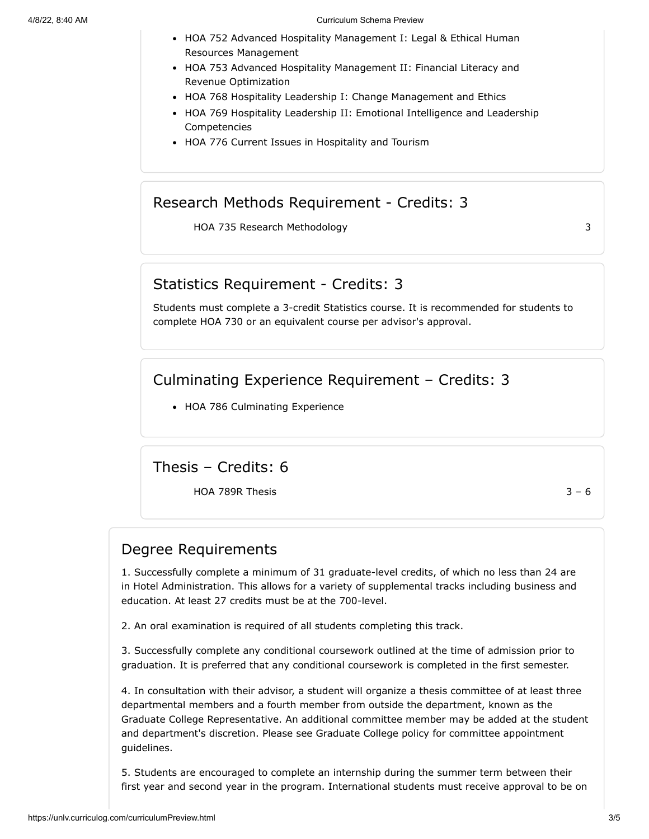- HOA 752 Advanced Hospitality Management I: Legal & Ethical Human Resources Management
- HOA 753 Advanced Hospitality Management II: Financial Literacy and Revenue Optimization
- HOA 768 Hospitality Leadership I: Change Management and Ethics
- HOA 769 Hospitality Leadership II: Emotional Intelligence and Leadership Competencies
- HOA 776 Current Issues in Hospitality and Tourism

# Research Methods Requirement - Credits: 3

HOA 735 Research Methodology 33

## Statistics Requirement - Credits: 3

Students must complete a 3-credit Statistics course. It is recommended for students to complete HOA 730 or an equivalent course per advisor's approval.

Culminating Experience Requirement – Credits: 3

• HOA 786 Culminating Experience

Thesis – Credits: 6

 $HOA$  789R Thesis  $3 - 6$ 

# Degree Requirements

1. Successfully complete a minimum of 31 graduate-level credits, of which no less than 24 are in Hotel Administration. This allows for a variety of supplemental tracks including business and education. At least 27 credits must be at the 700-level.

2. An oral examination is required of all students completing this track.

3. Successfully complete any conditional coursework outlined at the time of admission prior to graduation. It is preferred that any conditional coursework is completed in the first semester.

4. In consultation with their advisor, a student will organize a thesis committee of at least three departmental members and a fourth member from outside the department, known as the Graduate College Representative. An additional committee member may be added at the student and department's discretion. Please see Graduate College policy for committee appointment guidelines.

5. Students are encouraged to complete an internship during the summer term between their first year and second year in the program. International students must receive approval to be on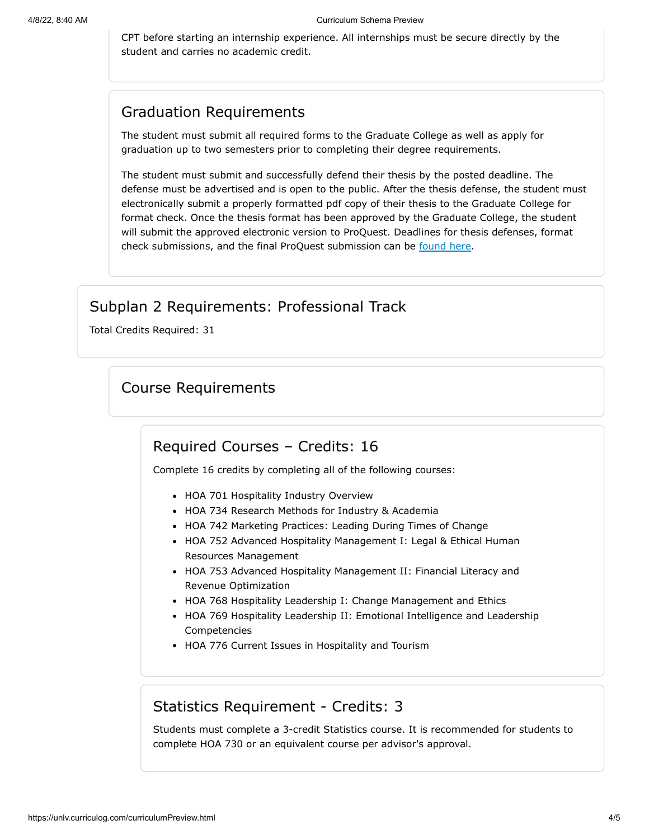CPT before starting an internship experience. All internships must be secure directly by the student and carries no academic credit.

# Graduation Requirements

The student must submit all required forms to the Graduate College as well as apply for graduation up to two semesters prior to completing their degree requirements.

The student must submit and successfully defend their thesis by the posted deadline. The defense must be advertised and is open to the public. After the thesis defense, the student must electronically submit a properly formatted pdf copy of their thesis to the Graduate College for format check. Once the thesis format has been approved by the Graduate College, the student will submit the approved electronic version to ProQuest. Deadlines for thesis defenses, format check submissions, and the final ProQuest submission can be [found](https://www.unlv.edu/graduatecollege/graduation-deadlines) here.

# Subplan 2 Requirements: Professional Track

<span id="page-3-0"></span>Total Credits Required: 31

# Course Requirements

#### Required Courses – Credits: 16

Complete 16 credits by completing all of the following courses:

- HOA 701 Hospitality Industry Overview
- HOA 734 Research Methods for Industry & Academia
- HOA 742 Marketing Practices: Leading During Times of Change
- HOA 752 Advanced Hospitality Management I: Legal & Ethical Human Resources Management
- HOA 753 Advanced Hospitality Management II: Financial Literacy and Revenue Optimization
- HOA 768 Hospitality Leadership I: Change Management and Ethics
- HOA 769 Hospitality Leadership II: Emotional Intelligence and Leadership Competencies
- HOA 776 Current Issues in Hospitality and Tourism

# Statistics Requirement - Credits: 3

Students must complete a 3-credit Statistics course. It is recommended for students to complete HOA 730 or an equivalent course per advisor's approval.